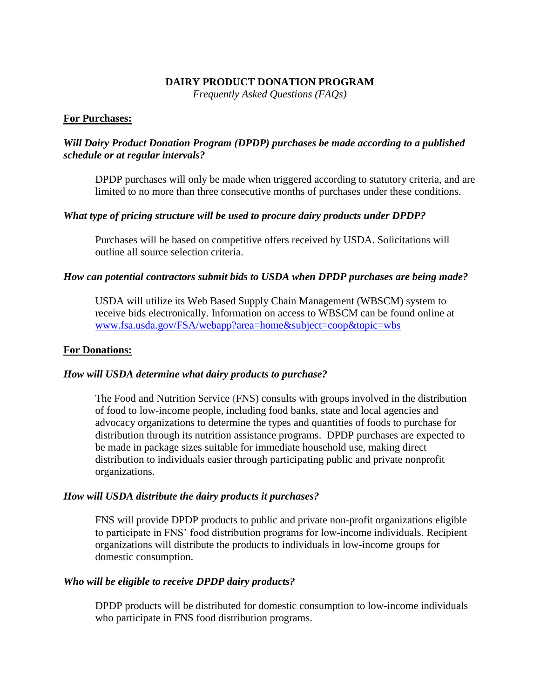### **DAIRY PRODUCT DONATION PROGRAM**

*Frequently Asked Questions (FAQs)*

### **For Purchases:**

# *Will Dairy Product Donation Program (DPDP) purchases be made according to a published schedule or at regular intervals?*

DPDP purchases will only be made when triggered according to statutory criteria, and are limited to no more than three consecutive months of purchases under these conditions.

## *What type of pricing structure will be used to procure dairy products under DPDP?*

Purchases will be based on competitive offers received by USDA. Solicitations will outline all source selection criteria.

### *How can potential contractors submit bids to USDA when DPDP purchases are being made?*

USDA will utilize its Web Based Supply Chain Management (WBSCM) system to receive bids electronically. Information on access to WBSCM can be found online at [www.fsa.usda.gov/FSA/webapp?area=home&subject=coop&topic=wbs](file:///C:/Users/Tanya.Brown/AppData/Local/Microsoft/Windows/Temporary%20Internet%20Files/Content.Outlook/4G7H0MYI/www.fsa.usda.gov/FSA/webapp%3farea=home&subject=coop&topic=wbs)

### **For Donations:**

## *How will USDA determine what dairy products to purchase?*

The Food and Nutrition Service (FNS) consults with groups involved in the distribution of food to low-income people, including food banks, state and local agencies and advocacy organizations to determine the types and quantities of foods to purchase for distribution through its nutrition assistance programs. DPDP purchases are expected to be made in package sizes suitable for immediate household use, making direct distribution to individuals easier through participating public and private nonprofit organizations.

#### *How will USDA distribute the dairy products it purchases?*

FNS will provide DPDP products to public and private non-profit organizations eligible to participate in FNS' food distribution programs for low-income individuals. Recipient organizations will distribute the products to individuals in low-income groups for domestic consumption.

#### *Who will be eligible to receive DPDP dairy products?*

DPDP products will be distributed for domestic consumption to low-income individuals who participate in FNS food distribution programs.